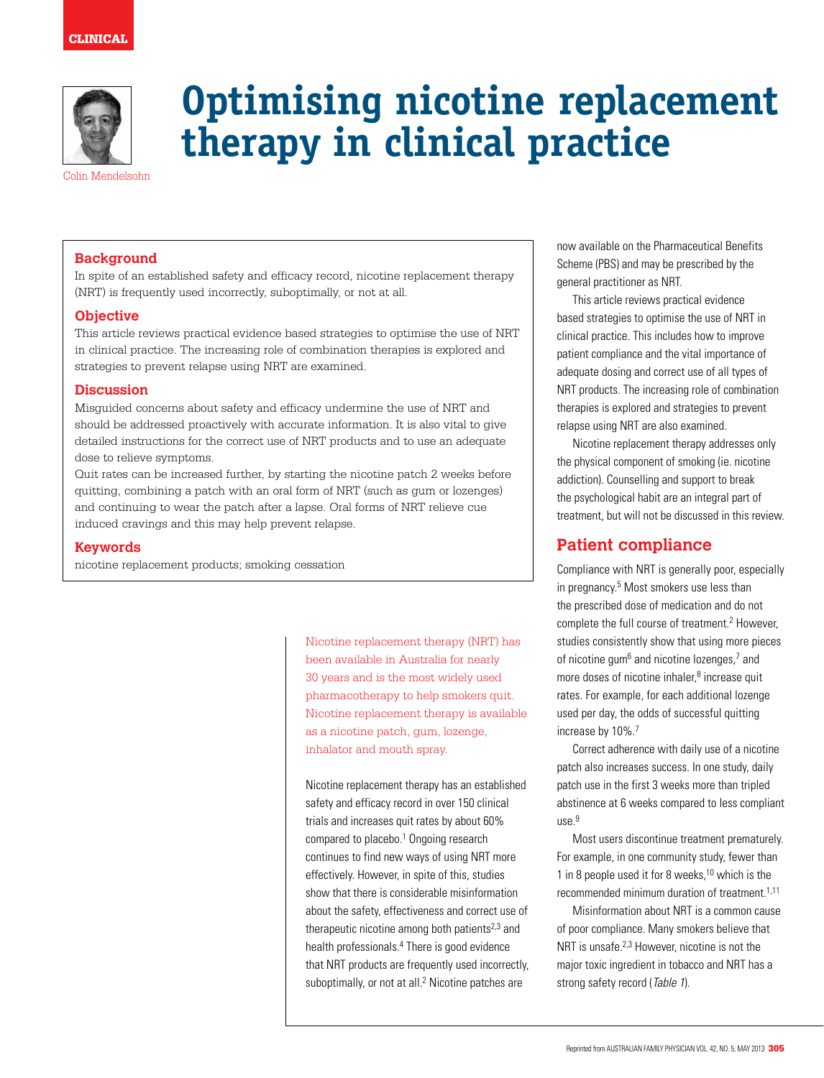

# **Optimising nicotine replacement therapy in clinical practice**

Colin Mendelsohn

## **Background**

In spite of an established safety and efficacy record, nicotine replacement therapy (NRT) is frequently used incorrectly, suboptimally, or not at all.

## **Objective**

This article reviews practical evidence based strategies to optimise the use of NRT in clinical practice. The increasing role of combination therapies is explored and strategies to prevent relapse using NRT are examined.

## **Discussion**

Misguided concerns about safety and efficacy undermine the use of NRT and should be addressed proactively with accurate information. It is also vital to give detailed instructions for the correct use of NRT products and to use an adequate dose to relieve symptoms.

Quit rates can be increased further, by starting the nicotine patch 2 weeks before quitting, combining a patch with an oral form of NRT (such as gum or lozenges) and continuing to wear the patch after a lapse. Oral forms of NRT relieve cue induced cravings and this may help prevent relapse.

## **Keywords**

nicotine replacement products; smoking cessation

Nicotine replacement therapy (NRT) has been available in Australia for nearly 30 years and is the most widely used pharmacotherapy to help smokers quit. Nicotine replacement therapy is available as a nicotine patch, gum, lozenge, inhalator and mouth spray.

Nicotine replacement therapy has an established safety and efficacy record in over 150 clinical trials and increases quit rates by about 60% compared to placebo.<sup>1</sup> Ongoing research continues to find new ways of using NRT more effectively. However, in spite of this, studies show that there is considerable misinformation about the safety, effectiveness and correct use of therapeutic nicotine among both patients $2,3$  and health professionals.<sup>4</sup> There is good evidence that NRT products are frequently used incorrectly, suboptimally, or not at all.<sup>2</sup> Nicotine patches are

now available on the Pharmaceutical Benefits Scheme (PBS) and may be prescribed by the general practitioner as NRT.

This article reviews practical evidence based strategies to optimise the use of NRT in clinical practice. This includes how to improve patient compliance and the vital importance of adequate dosing and correct use of all types of NRT products. The increasing role of combination therapies is explored and strategies to prevent relapse using NRT are also examined.

Nicotine replacement therapy addresses only the physical component of smoking (ie. nicotine addiction). Counselling and support to break the psychological habit are an integral part of treatment, but will not be discussed in this review.

# **Patient compliance**

Compliance with NRT is generally poor, especially in pregnancy.<sup>5</sup> Most smokers use less than the prescribed dose of medication and do not complete the full course of treatment.<sup>2</sup> However, studies consistently show that using more pieces of nicotine gum<sup>6</sup> and nicotine lozenges,<sup>7</sup> and more doses of nicotine inhaler,<sup>8</sup> increase quit rates. For example, for each additional lozenge used per day, the odds of successful quitting increase by 10%.<sup>7</sup>

Correct adherence with daily use of a nicotine patch also increases success. In one study, daily patch use in the first 3 weeks more than tripled abstinence at 6 weeks compared to less compliant  $\mu$ se.9

Most users discontinue treatment prematurely. For example, in one community study, fewer than 1 in 8 people used it for 8 weeks,<sup>10</sup> which is the recommended minimum duration of treatment.1,11

Misinformation about NRT is a common cause of poor compliance. Many smokers believe that NRT is unsafe.<sup>2,3</sup> However, nicotine is not the major toxic ingredient in tobacco and NRT has a strong safety record (Table 1).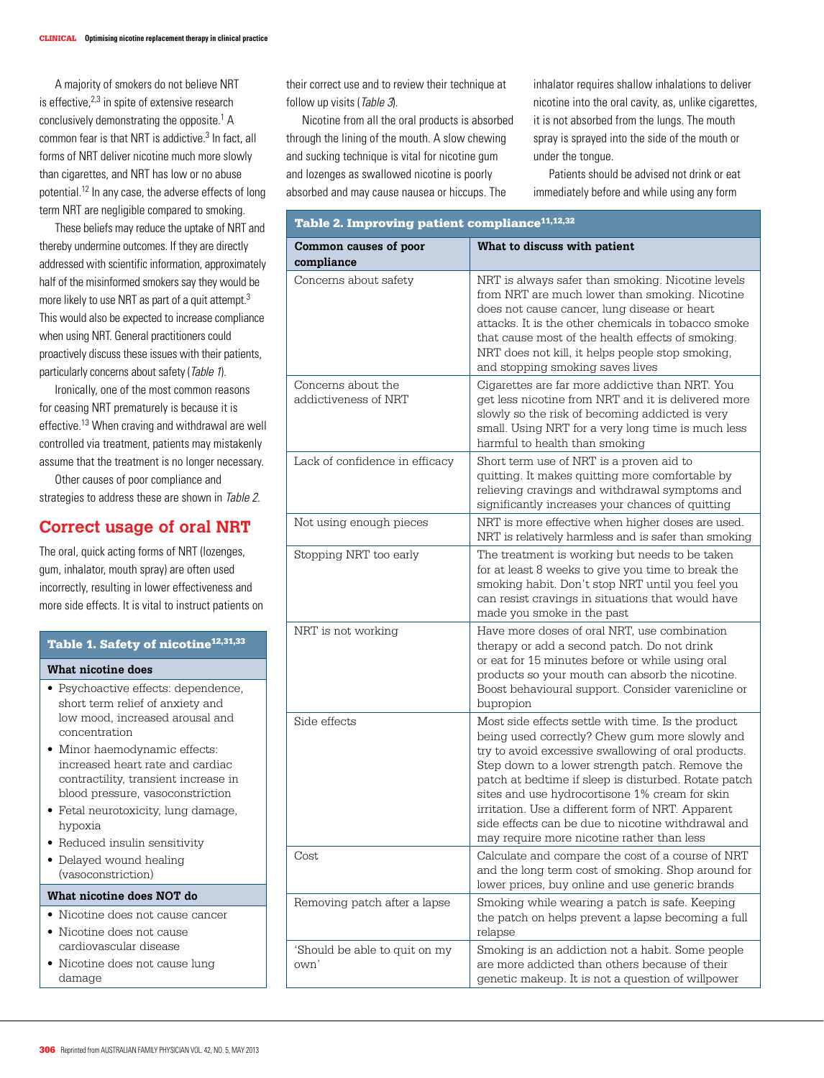A majority of smokers do not believe NRT is effective,<sup>2,3</sup> in spite of extensive research conclusively demonstrating the opposite.<sup>1</sup> A common fear is that NRT is addictive.<sup>3</sup> In fact, all forms of NRT deliver nicotine much more slowly than cigarettes, and NRT has low or no abuse potential.12 In any case, the adverse effects of long term NRT are negligible compared to smoking.

These beliefs may reduce the uptake of NRT and thereby undermine outcomes. If they are directly addressed with scientific information, approximately half of the misinformed smokers say they would be more likely to use NRT as part of a quit attempt.<sup>3</sup> This would also be expected to increase compliance when using NRT. General practitioners could proactively discuss these issues with their patients, particularly concerns about safety (Table 1).

Ironically, one of the most common reasons for ceasing NRT prematurely is because it is effective.13 When craving and withdrawal are well controlled via treatment, patients may mistakenly assume that the treatment is no longer necessary.

Other causes of poor compliance and strategies to address these are shown in Table 2.

# **Correct usage of oral NRT**

The oral, quick acting forms of NRT (lozenges, gum, inhalator, mouth spray) are often used incorrectly, resulting in lower effectiveness and more side effects. It is vital to instruct patients on

# Table 1. Safety of nicotine<sup>12,31,33</sup>

#### **What nicotine does**

- Psychoactive effects: dependence, short term relief of anxiety and low mood, increased arousal and concentration
- Minor haemodynamic effects: increased heart rate and cardiac contractility, transient increase in blood pressure, vasoconstriction
- Fetal neurotoxicity, lung damage, hypoxia
- Reduced insulin sensitivity
- Delayed wound healing (vasoconstriction)

#### **What nicotine does NOT do**

- • Nicotine does not cause cancer
- • Nicotine does not cause cardiovascular disease
- Nicotine does not cause lung damage

their correct use and to review their technique at follow up visits (Table 3).

Nicotine from all the oral products is absorbed through the lining of the mouth. A slow chewing and sucking technique is vital for nicotine gum and lozenges as swallowed nicotine is poorly absorbed and may cause nausea or hiccups. The

inhalator requires shallow inhalations to deliver nicotine into the oral cavity, as, unlike cigarettes, it is not absorbed from the lungs. The mouth spray is sprayed into the side of the mouth or under the tongue.

Patients should be advised not drink or eat immediately before and while using any form

| Table 2. Improving patient compliance <sup>11,12,32</sup> |                                                                                                                                                                                                                                                                                                                                                                                                                                                                                   |  |
|-----------------------------------------------------------|-----------------------------------------------------------------------------------------------------------------------------------------------------------------------------------------------------------------------------------------------------------------------------------------------------------------------------------------------------------------------------------------------------------------------------------------------------------------------------------|--|
| Common causes of poor<br>compliance                       | What to discuss with patient                                                                                                                                                                                                                                                                                                                                                                                                                                                      |  |
| Concerns about safety                                     | NRT is always safer than smoking. Nicotine levels<br>from NRT are much lower than smoking. Nicotine<br>does not cause cancer, lung disease or heart<br>attacks. It is the other chemicals in tobacco smoke<br>that cause most of the health effects of smoking.<br>NRT does not kill, it helps people stop smoking,<br>and stopping smoking saves lives                                                                                                                           |  |
| Concerns about the<br>addictiveness of NRT                | Cigarettes are far more addictive than NRT. You<br>get less nicotine from NRT and it is delivered more<br>slowly so the risk of becoming addicted is very<br>small. Using NRT for a very long time is much less<br>harmful to health than smoking                                                                                                                                                                                                                                 |  |
| Lack of confidence in efficacy                            | Short term use of NRT is a proven aid to<br>quitting. It makes quitting more comfortable by<br>relieving cravings and withdrawal symptoms and<br>significantly increases your chances of quitting                                                                                                                                                                                                                                                                                 |  |
| Not using enough pieces                                   | NRT is more effective when higher doses are used.<br>NRT is relatively harmless and is safer than smoking                                                                                                                                                                                                                                                                                                                                                                         |  |
| Stopping NRT too early                                    | The treatment is working but needs to be taken<br>for at least 8 weeks to give you time to break the<br>smoking habit. Don't stop NRT until you feel you<br>can resist cravings in situations that would have<br>made you smoke in the past                                                                                                                                                                                                                                       |  |
| NRT is not working                                        | Have more doses of oral NRT, use combination<br>therapy or add a second patch. Do not drink<br>or eat for 15 minutes before or while using oral<br>products so your mouth can absorb the nicotine.<br>Boost behavioural support. Consider varenicline or<br>bupropion                                                                                                                                                                                                             |  |
| Side effects                                              | Most side effects settle with time. Is the product<br>being used correctly? Chew gum more slowly and<br>try to avoid excessive swallowing of oral products.<br>Step down to a lower strength patch. Remove the<br>patch at bedtime if sleep is disturbed. Rotate patch<br>sites and use hydrocortisone 1% cream for skin<br>irritation. Use a different form of NRT. Apparent<br>side effects can be due to nicotine withdrawal and<br>may require more nicotine rather than less |  |
| Cost                                                      | Calculate and compare the cost of a course of NRT<br>and the long term cost of smoking. Shop around for<br>lower prices, buy online and use generic brands                                                                                                                                                                                                                                                                                                                        |  |
| Removing patch after a lapse                              | Smoking while wearing a patch is safe. Keeping<br>the patch on helps prevent a lapse becoming a full<br>relapse                                                                                                                                                                                                                                                                                                                                                                   |  |
| 'Should be able to quit on my<br>own'                     | Smoking is an addiction not a habit. Some people<br>are more addicted than others because of their<br>genetic makeup. It is not a question of willpower                                                                                                                                                                                                                                                                                                                           |  |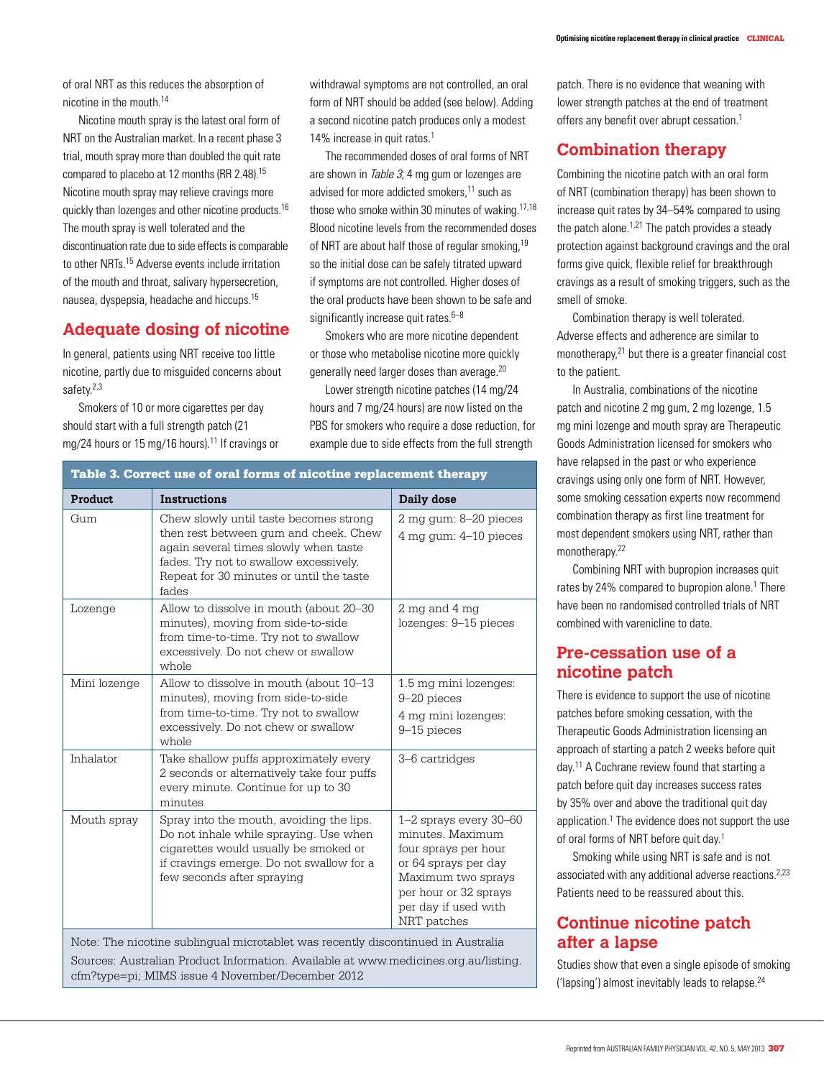of oral NRT as this reduces the absorption of nicotine in the mouth.14

Nicotine mouth spray is the latest oral form of NRT on the Australian market. In a recent phase 3 trial, mouth spray more than doubled the quit rate compared to placebo at 12 months (RR 2.48).15 Nicotine mouth spray may relieve cravings more quickly than lozenges and other nicotine products.16 The mouth spray is well tolerated and the discontinuation rate due to side effects is comparable to other NRTs.15 Adverse events include irritation of the mouth and throat, salivary hypersecretion, nausea, dyspepsia, headache and hiccups.15

# **Adequate dosing of nicotine**

In general, patients using NRT receive too little nicotine, partly due to misguided concerns about safety.2,3

Smokers of 10 or more cigarettes per day should start with a full strength patch (21 mg/24 hours or 15 mg/16 hours).<sup>11</sup> If cravings or withdrawal symptoms are not controlled, an oral form of NRT should be added (see below). Adding a second nicotine patch produces only a modest 14% increase in quit rates.<sup>1</sup>

The recommended doses of oral forms of NRT are shown in Table 3; 4 mg gum or lozenges are advised for more addicted smokers.<sup>11</sup> such as those who smoke within 30 minutes of waking.<sup>17,18</sup> Blood nicotine levels from the recommended doses of NRT are about half those of regular smoking,  $19$ so the initial dose can be safely titrated upward if symptoms are not controlled. Higher doses of the oral products have been shown to be safe and significantly increase quit rates.<sup>6-8</sup>

Smokers who are more nicotine dependent or those who metabolise nicotine more quickly generally need larger doses than average.20

Lower strength nicotine patches (14 mg/24 hours and 7 mg/24 hours) are now listed on the PBS for smokers who require a dose reduction, for example due to side effects from the full strength

patch. There is no evidence that weaning with lower strength patches at the end of treatment offers any benefit over abrupt cessation.<sup>1</sup>

# **Combination therapy**

Combining the nicotine patch with an oral form of NRT (combination therapy) has been shown to increase quit rates by 34–54% compared to using the patch alone. $1,21$  The patch provides a steady protection against background cravings and the oral forms give quick, flexible relief for breakthrough cravings as a result of smoking triggers, such as the smell of smoke.

Combination therapy is well tolerated. Adverse effects and adherence are similar to monotherapy,21 but there is a greater financial cost to the patient.

In Australia, combinations of the nicotine patch and nicotine 2 mg gum, 2 mg lozenge, 1.5 mg mini lozenge and mouth spray are Therapeutic Goods Administration licensed for smokers who have relapsed in the past or who experience cravings using only one form of NRT. However, some smoking cessation experts now recommend combination therapy as first line treatment for most dependent smokers using NRT, rather than monotherapy.22

Combining NRT with bupropion increases quit rates by 24% compared to bupropion alone.<sup>1</sup> There have been no randomised controlled trials of NRT combined with varenicline to date.

# **Pre-cessation use of a nicotine patch**

There is evidence to support the use of nicotine patches before smoking cessation, with the Therapeutic Goods Administration licensing an approach of starting a patch 2 weeks before quit day.11 A Cochrane review found that starting a patch before quit day increases success rates by 35% over and above the traditional quit day application.<sup>1</sup> The evidence does not support the use of oral forms of NRT before quit day.1

Smoking while using NRT is safe and is not associated with any additional adverse reactions.<sup>2,23</sup> Patients need to be reassured about this.

# **Continue nicotine patch after a lapse**

Studies show that even a single episode of smoking ('lapsing') almost inevitably leads to relapse.24

| Product      | <b>Instructions</b>                                                                                                                                                                                                     | Daily dose                                                                                                                                                                       |
|--------------|-------------------------------------------------------------------------------------------------------------------------------------------------------------------------------------------------------------------------|----------------------------------------------------------------------------------------------------------------------------------------------------------------------------------|
| Gum          | Chew slowly until taste becomes strong<br>then rest between gum and cheek. Chew<br>again several times slowly when taste<br>fades. Try not to swallow excessively.<br>Repeat for 30 minutes or until the taste<br>fades | 2 mg gum: 8–20 pieces<br>4 mg qum: 4-10 pieces                                                                                                                                   |
| Lozenge      | Allow to dissolve in mouth (about 20-30<br>minutes), moving from side-to-side<br>from time-to-time. Try not to swallow<br>excessively. Do not chew or swallow<br>whole                                                  | 2 mg and 4 mg<br>lozenges: 9-15 pieces                                                                                                                                           |
| Mini lozenge | Allow to dissolve in mouth (about 10-13<br>minutes), moving from side-to-side<br>from time-to-time. Try not to swallow<br>excessively. Do not chew or swallow<br>whole                                                  | 1.5 mg mini lozenges:<br>9-20 pieces<br>4 mg mini lozenges:<br>9-15 pieces                                                                                                       |
| Inhalator    | Take shallow puffs approximately every<br>2 seconds or alternatively take four puffs<br>every minute. Continue for up to 30<br>minutes                                                                                  | 3-6 cartridges                                                                                                                                                                   |
| Mouth spray  | Spray into the mouth, avoiding the lips.<br>Do not inhale while spraying. Use when<br>cigarettes would usually be smoked or<br>if cravings emerge. Do not swallow for a<br>few seconds after spraying                   | 1-2 sprays every 30-60<br>minutes. Maximum<br>four sprays per hour<br>or 64 sprays per day<br>Maximum two sprays<br>per hour or 32 sprays<br>per day if used with<br>NRT patches |

cfm?type=pi; MIMS issue 4 November/December 2012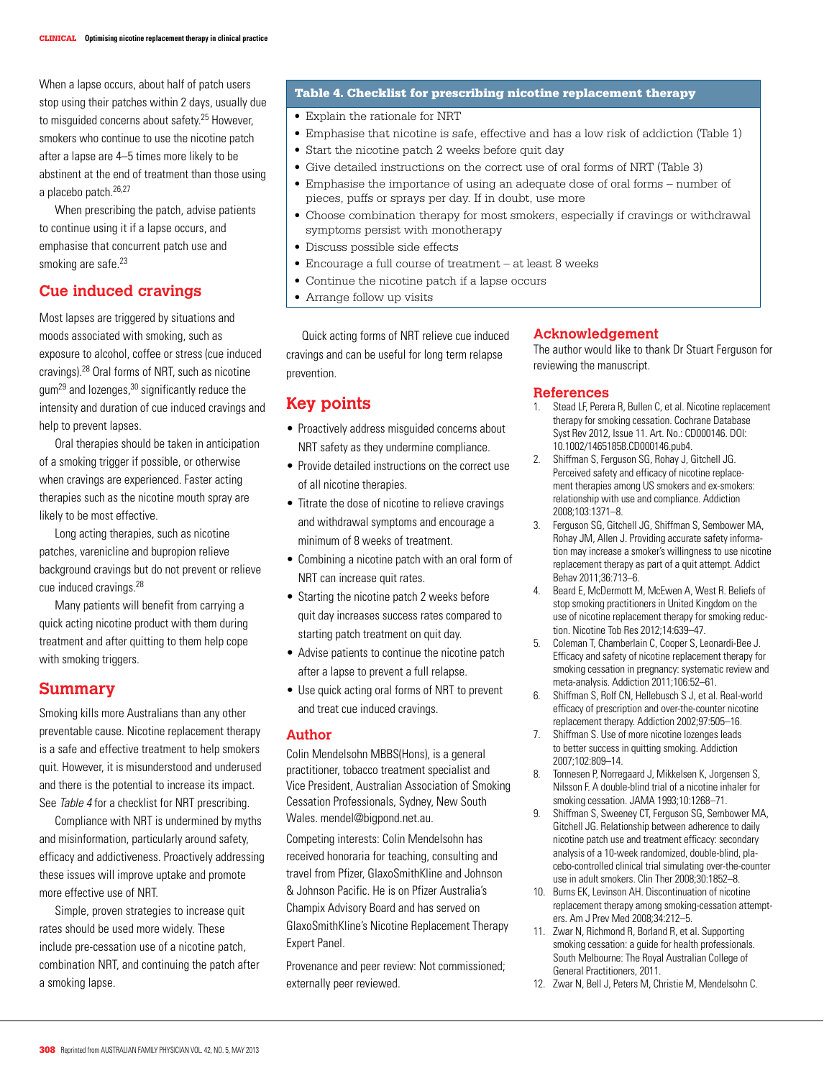When a lapse occurs, about half of patch users stop using their patches within 2 days, usually due to misquided concerns about safety.<sup>25</sup> However, smokers who continue to use the nicotine patch after a lapse are 4–5 times more likely to be abstinent at the end of treatment than those using a placebo patch.26,27

When prescribing the patch, advise patients to continue using it if a lapse occurs, and emphasise that concurrent patch use and smoking are safe.<sup>23</sup>

# **Cue induced cravings**

Most lapses are triggered by situations and moods associated with smoking, such as exposure to alcohol, coffee or stress (cue induced cravings).28 Oral forms of NRT, such as nicotine  $g$ um<sup>29</sup> and lozenges,  $30$  significantly reduce the intensity and duration of cue induced cravings and help to prevent lapses.

Oral therapies should be taken in anticipation of a smoking trigger if possible, or otherwise when cravings are experienced. Faster acting therapies such as the nicotine mouth spray are likely to be most effective.

Long acting therapies, such as nicotine patches, varenicline and bupropion relieve background cravings but do not prevent or relieve cue induced cravings.28

Many patients will benefit from carrying a quick acting nicotine product with them during treatment and after quitting to them help cope with smoking triggers.

# **Summary**

Smoking kills more Australians than any other preventable cause. Nicotine replacement therapy is a safe and effective treatment to help smokers quit. However, it is misunderstood and underused and there is the potential to increase its impact. See Table 4 for a checklist for NRT prescribing.

Compliance with NRT is undermined by myths and misinformation, particularly around safety, efficacy and addictiveness. Proactively addressing these issues will improve uptake and promote more effective use of NRT.

Simple, proven strategies to increase quit rates should be used more widely. These include pre-cessation use of a nicotine patch, combination NRT, and continuing the patch after a smoking lapse.

### Table 4. Checklist for prescribing nicotine replacement therapy

- Explain the rationale for NRT
- • Emphasise that nicotine is safe, effective and has a low risk of addiction (Table 1)
- Start the nicotine patch 2 weeks before quit day
- Give detailed instructions on the correct use of oral forms of NRT (Table 3)
- Emphasise the importance of using an adequate dose of oral forms number of pieces, puffs or sprays per day. If in doubt, use more
- • Choose combination therapy for most smokers, especially if cravings or withdrawal symptoms persist with monotherapy
- • Discuss possible side effects
- Encourage a full course of treatment at least 8 weeks
- Continue the nicotine patch if a lapse occurs
- Arrange follow up visits

Quick acting forms of NRT relieve cue induced cravings and can be useful for long term relapse prevention.

# **Key points**

- Proactively address misguided concerns about NRT safety as they undermine compliance.
- Provide detailed instructions on the correct use of all nicotine therapies.
- Titrate the dose of nicotine to relieve cravings and withdrawal symptoms and encourage a minimum of 8 weeks of treatment.
- Combining a nicotine patch with an oral form of NRT can increase quit rates.
- Starting the nicotine patch 2 weeks before quit day increases success rates compared to starting patch treatment on quit day.
- Advise patients to continue the nicotine patch after a lapse to prevent a full relapse.
- Use quick acting oral forms of NRT to prevent and treat cue induced cravings.

#### **Author**

Colin Mendelsohn MBBS(Hons), is a general practitioner, tobacco treatment specialist and Vice President, Australian Association of Smoking Cessation Professionals, Sydney, New South Wales. mendel@bigpond.net.au.

Competing interests: Colin Mendelsohn has received honoraria for teaching, consulting and travel from Pfizer, GlaxoSmithKline and Johnson & Johnson Pacific. He is on Pfizer Australia's Champix Advisory Board and has served on GlaxoSmithKline's Nicotine Replacement Therapy Expert Panel.

Provenance and peer review: Not commissioned; externally peer reviewed.

#### **Acknowledgement**

The author would like to thank Dr Stuart Ferguson for reviewing the manuscript.

#### **References**

- 1. Stead LF, Perera R, Bullen C, et al. Nicotine replacement therapy for smoking cessation. Cochrane Database Syst Rev 2012, Issue 11. Art. No.: CD000146. DOI: 10.1002/14651858.CD000146.pub4.
- 2. Shiffman S, Ferguson SG, Rohay J, Gitchell JG. Perceived safety and efficacy of nicotine replacement therapies among US smokers and ex-smokers: relationship with use and compliance. Addiction 2008;103:1371–8.
- 3. Ferguson SG, Gitchell JG, Shiffman S, Sembower MA, Rohay JM, Allen J. Providing accurate safety information may increase a smoker's willingness to use nicotine replacement therapy as part of a quit attempt. Addict Behav 2011;36:713–6.
- 4. Beard E, McDermott M, McEwen A, West R. Beliefs of stop smoking practitioners in United Kingdom on the use of nicotine replacement therapy for smoking reduction. Nicotine Tob Res 2012;14:639–47.
- 5. Coleman T, Chamberlain C, Cooper S, Leonardi-Bee J. Efficacy and safety of nicotine replacement therapy for smoking cessation in pregnancy: systematic review and meta-analysis. Addiction 2011;106:52–61.
- 6. Shiffman S, Rolf CN, Hellebusch S J, et al. Real-world efficacy of prescription and over-the-counter nicotine replacement therapy. Addiction 2002;97:505–16.
- 7. Shiffman S. Use of more nicotine lozenges leads to better success in quitting smoking. Addiction 2007;102:809–14.
- 8. Tonnesen P, Norregaard J, Mikkelsen K, Jorgensen S, Nilsson F. A double-blind trial of a nicotine inhaler for smoking cessation. JAMA 1993;10:1268–71.
- 9. Shiffman S, Sweeney CT, Ferguson SG, Sembower MA, Gitchell JG. Relationship between adherence to daily nicotine patch use and treatment efficacy: secondary analysis of a 10-week randomized, double-blind, placebo-controlled clinical trial simulating over-the-counter use in adult smokers. Clin Ther 2008;30:1852–8.
- 10. Burns EK, Levinson AH. Discontinuation of nicotine replacement therapy among smoking-cessation attempters. Am J Prev Med 2008;34:212–5.
- 11. Zwar N, Richmond R, Borland R, et al. Supporting smoking cessation: a guide for health professionals. South Melbourne: The Royal Australian College of General Practitioners, 2011.
- 12. Zwar N, Bell J, Peters M, Christie M, Mendelsohn C.